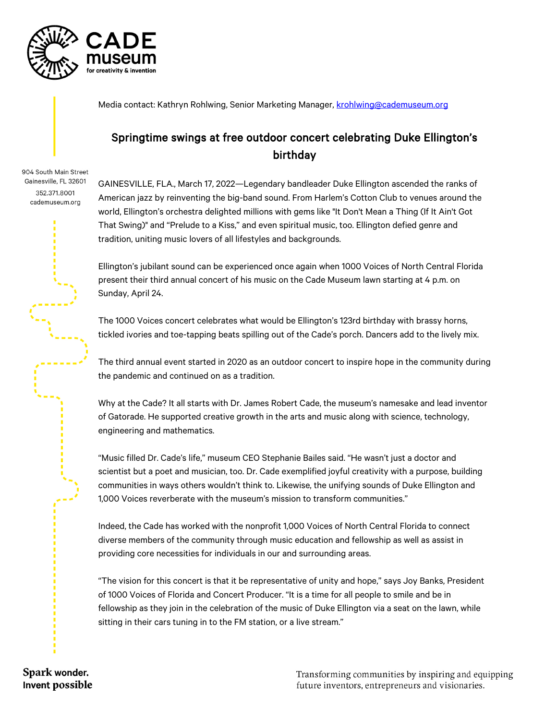

Media contact: Kathryn Rohlwing, Senior Marketing Manager, [krohlwing@cademuseum.org](mailto:krohlwing@cademuseum.org)

## Springtime swings at free outdoor concert celebrating Duke Ellington's birthday

904 South Main Street Gainesville, FL 32601 352.371.8001 cademuseum.org

GAINESVILLE, FLA., March 17, 2022—Legendary bandleader Duke Ellington ascended the ranks of American jazz by reinventing the big-band sound. From Harlem's Cotton Club to venues around the world, Ellington's orchestra delighted millions with gems like "It Don't Mean a Thing (If It Ain't Got That Swing)" and "Prelude to a Kiss," and even spiritual music, too. Ellington defied genre and tradition, uniting music lovers of all lifestyles and backgrounds.

Ellington's jubilant sound can be experienced once again when 1000 Voices of North Central Florida present their third annual concert of his music on the Cade Museum lawn starting at 4 p.m. on Sunday, April 24.

The 1000 Voices concert celebrates what would be Ellington's 123rd birthday with brassy horns, tickled ivories and toe-tapping beats spilling out of the Cade's porch. Dancers add to the lively mix.

The third annual event started in 2020 as an outdoor concert to inspire hope in the community during the pandemic and continued on as a tradition.

Why at the Cade? It all starts with Dr. James Robert Cade, the museum's namesake and lead inventor of Gatorade. He supported creative growth in the arts and music along with science, technology, engineering and mathematics.

"Music filled Dr. Cade's life," museum CEO Stephanie Bailes said. "He wasn't just a doctor and scientist but a poet and musician, too. Dr. Cade exemplified joyful creativity with a purpose, building communities in ways others wouldn't think to. Likewise, the unifying sounds of Duke Ellington and 1,000 Voices reverberate with the museum's mission to transform communities."

Indeed, the Cade has worked with the nonprofit 1,000 Voices of North Central Florida to connect diverse members of the community through music education and fellowship as well as assist in providing core necessities for individuals in our and surrounding areas.

"The vision for this concert is that it be representative of unity and hope," says Joy Banks, President of 1000 Voices of Florida and Concert Producer. "It is a time for all people to smile and be in fellowship as they join in the celebration of the music of Duke Ellington via a seat on the lawn, while sitting in their cars tuning in to the FM station, or a live stream."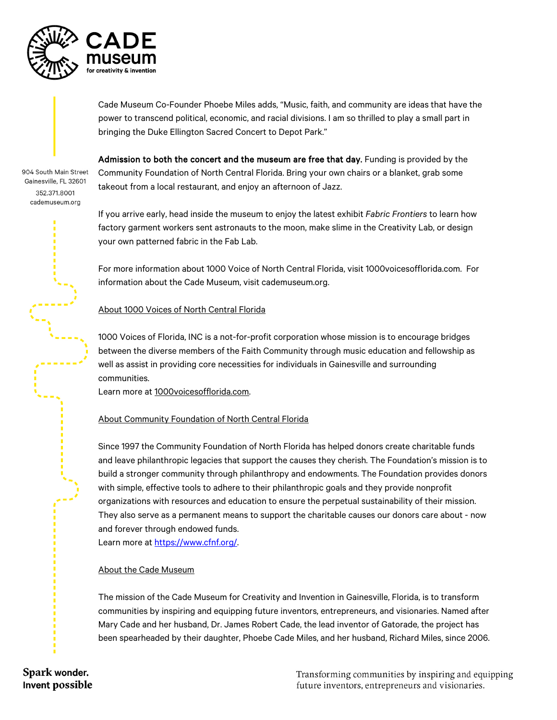

Cade Museum Co-Founder Phoebe Miles adds, "Music, faith, and community are ideas that have the power to transcend political, economic, and racial divisions. I am so thrilled to play a small part in bringing the Duke Ellington Sacred Concert to Depot Park."

904 South Main Street Gainesville, FL 32601 352 371 8001 cademuseum.org

Admission to both the concert and the museum are free that day. Funding is provided by the Community Foundation of North Central Florida. Bring your own chairs or a blanket, grab some takeout from a local restaurant, and enjoy an afternoon of Jazz.

If you arrive early, head inside the museum to enjoy the latest exhibit *Fabric Frontiers* to learn how factory garment workers sent astronauts to the moon, make slime in the Creativity Lab, or design your own patterned fabric in the Fab Lab.

For more information about 1000 Voice of North Central Florida, visit 1000voicesofflorida.com. For information about the Cade Museum, visit cademuseum.org.

## About 1000 Voices of North Central Florida

1000 Voices of Florida, INC is a not-for-profit corporation whose mission is to encourage bridges between the diverse members of the Faith Community through music education and fellowship as well as assist in providing core necessities for individuals in Gainesville and surrounding communities.

Learn more at 1000voicesofflorida.com.

## About Community Foundation of North Central Florida

Since 1997 the Community Foundation of North Florida has helped donors create charitable funds and leave philanthropic legacies that support the causes they cherish. The Foundation's mission is to build a stronger community through philanthropy and endowments. The Foundation provides donors with simple, effective tools to adhere to their philanthropic goals and they provide nonprofit organizations with resources and education to ensure the perpetual sustainability of their mission. They also serve as a permanent means to support the charitable causes our donors care about - now and forever through endowed funds.

Learn more at [https://www.cfnf.org/.](https://www.cfnf.org/) 

## About the Cade Museum

The mission of the Cade Museum for Creativity and Invention in Gainesville, Florida, is to transform communities by inspiring and equipping future inventors, entrepreneurs, and visionaries. Named after Mary Cade and her husband, Dr. James Robert Cade, the lead inventor of Gatorade, the project has been spearheaded by their daughter, Phoebe Cade Miles, and her husband, Richard Miles, since 2006.

Spark wonder. Invent possible